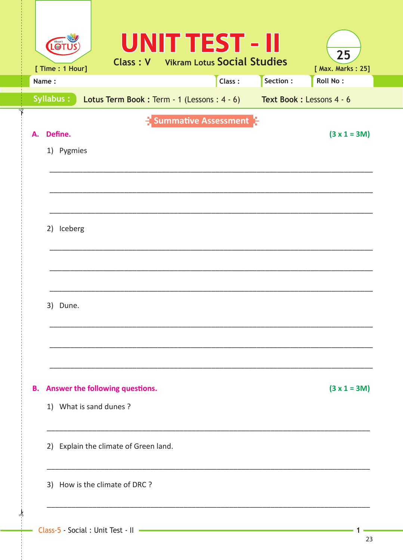|    | LOT<br>[ Time : 1 Hour] |                        |                                       |  | <b>UNIT TEST - II</b><br><b>Class: V</b> Vikram Lotus Social Studies |          | 25<br>[ Max. Marks: 25]                                             |  |
|----|-------------------------|------------------------|---------------------------------------|--|----------------------------------------------------------------------|----------|---------------------------------------------------------------------|--|
|    | Name:                   |                        |                                       |  | Class:                                                               | Section: | <b>Roll No:</b>                                                     |  |
|    | <b>Syllabus:</b>        |                        |                                       |  |                                                                      |          | Lotus Term Book: Term - 1 (Lessons: 4 - 6) Text Book: Lessons 4 - 6 |  |
| А. | Define.<br>1) Pygmies   |                        |                                       |  | $\frac{1}{2}$ Summative Assessment $\frac{5}{2}$                     |          | $(3 x 1 = 3M)$                                                      |  |
|    | 2) Iceberg              |                        |                                       |  |                                                                      |          |                                                                     |  |
|    | 3) Dune.                |                        |                                       |  |                                                                      |          |                                                                     |  |
| Β. |                         | 1) What is sand dunes? | Answer the following questions.       |  |                                                                      |          | $(3 x 1 = 3M)$                                                      |  |
|    |                         |                        | 2) Explain the climate of Green land. |  |                                                                      |          |                                                                     |  |
|    |                         |                        | 3) How is the climate of DRC ?        |  |                                                                      |          |                                                                     |  |
|    |                         |                        |                                       |  |                                                                      |          |                                                                     |  |

ᢢ